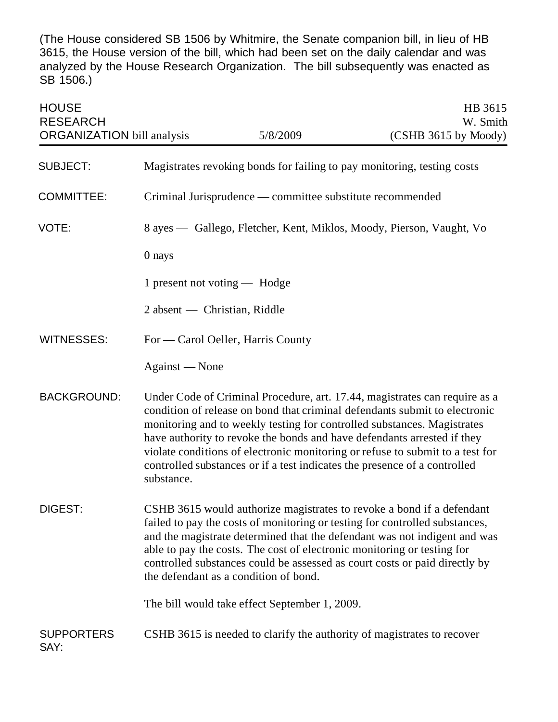(The House considered SB 1506 by Whitmire, the Senate companion bill, in lieu of HB 3615, the House version of the bill, which had been set on the daily calendar and was analyzed by the House Research Organization. The bill subsequently was enacted as SB 1506.)

| <b>HOUSE</b><br><b>RESEARCH</b><br><b>ORGANIZATION</b> bill analysis |                              | 5/8/2009                                                  | HB 3615<br>W. Smith<br>(CSHB 3615 by Moody)                                                                                                                                                                                                                                                                                                                                                                                                                                  |
|----------------------------------------------------------------------|------------------------------|-----------------------------------------------------------|------------------------------------------------------------------------------------------------------------------------------------------------------------------------------------------------------------------------------------------------------------------------------------------------------------------------------------------------------------------------------------------------------------------------------------------------------------------------------|
| <b>SUBJECT:</b>                                                      |                              |                                                           | Magistrates revoking bonds for failing to pay monitoring, testing costs                                                                                                                                                                                                                                                                                                                                                                                                      |
| <b>COMMITTEE:</b>                                                    |                              | Criminal Jurisprudence — committee substitute recommended |                                                                                                                                                                                                                                                                                                                                                                                                                                                                              |
|                                                                      |                              |                                                           |                                                                                                                                                                                                                                                                                                                                                                                                                                                                              |
| VOTE:                                                                |                              |                                                           | 8 ayes — Gallego, Fletcher, Kent, Miklos, Moody, Pierson, Vaught, Vo                                                                                                                                                                                                                                                                                                                                                                                                         |
|                                                                      | 0 nays                       |                                                           |                                                                                                                                                                                                                                                                                                                                                                                                                                                                              |
|                                                                      | 1 present not voting — Hodge |                                                           |                                                                                                                                                                                                                                                                                                                                                                                                                                                                              |
|                                                                      | 2 absent — Christian, Riddle |                                                           |                                                                                                                                                                                                                                                                                                                                                                                                                                                                              |
| <b>WITNESSES:</b>                                                    |                              | For — Carol Oeller, Harris County                         |                                                                                                                                                                                                                                                                                                                                                                                                                                                                              |
|                                                                      | Against — None               |                                                           |                                                                                                                                                                                                                                                                                                                                                                                                                                                                              |
| <b>BACKGROUND:</b>                                                   | substance.                   |                                                           | Under Code of Criminal Procedure, art. 17.44, magistrates can require as a<br>condition of release on bond that criminal defendants submit to electronic<br>monitoring and to weekly testing for controlled substances. Magistrates<br>have authority to revoke the bonds and have defendants arrested if they<br>violate conditions of electronic monitoring or refuse to submit to a test for<br>controlled substances or if a test indicates the presence of a controlled |
| DIGEST:                                                              |                              | the defendant as a condition of bond.                     | CSHB 3615 would authorize magistrates to revoke a bond if a defendant<br>failed to pay the costs of monitoring or testing for controlled substances,<br>and the magistrate determined that the defendant was not indigent and was<br>able to pay the costs. The cost of electronic monitoring or testing for<br>controlled substances could be assessed as court costs or paid directly by                                                                                   |
|                                                                      |                              | The bill would take effect September 1, 2009.             |                                                                                                                                                                                                                                                                                                                                                                                                                                                                              |
| <b>SUPPORTERS</b><br>SAY:                                            |                              |                                                           | CSHB 3615 is needed to clarify the authority of magistrates to recover                                                                                                                                                                                                                                                                                                                                                                                                       |